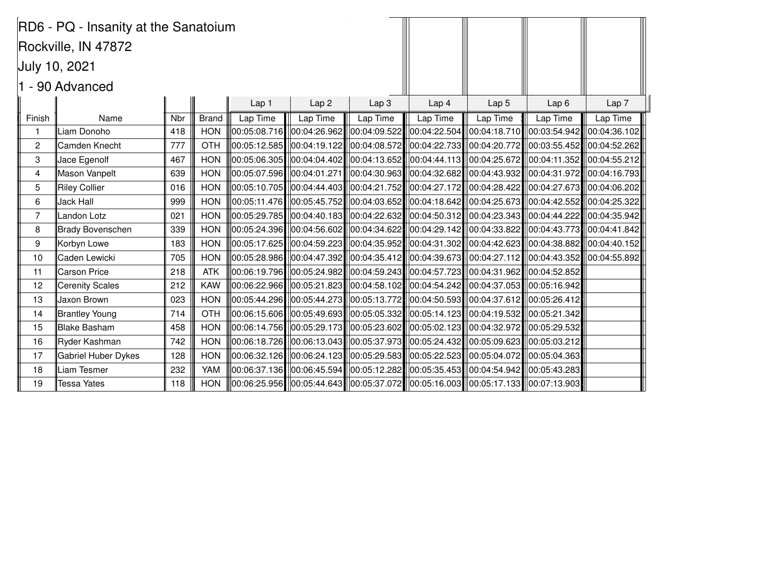| RD6 - PQ - Insanity at the Sanatoium |                            |            |              |          |                                       |                                                                                                                                                                                                                                |                  |                                                                     |                              |                  |
|--------------------------------------|----------------------------|------------|--------------|----------|---------------------------------------|--------------------------------------------------------------------------------------------------------------------------------------------------------------------------------------------------------------------------------|------------------|---------------------------------------------------------------------|------------------------------|------------------|
| Rockville, IN 47872                  |                            |            |              |          |                                       |                                                                                                                                                                                                                                |                  |                                                                     |                              |                  |
|                                      | <b>July 10, 2021</b>       |            |              |          |                                       |                                                                                                                                                                                                                                |                  |                                                                     |                              |                  |
|                                      |                            |            |              |          |                                       |                                                                                                                                                                                                                                |                  |                                                                     |                              |                  |
| 1 - 90 Advanced                      |                            |            |              |          |                                       |                                                                                                                                                                                                                                |                  |                                                                     |                              |                  |
|                                      |                            |            |              | Lap 1    | Lap <sub>2</sub>                      | Lap <sub>3</sub>                                                                                                                                                                                                               | Lap <sub>4</sub> | Lap <sub>5</sub>                                                    | Lap6                         | Lap <sub>7</sub> |
| Finish                               | Name                       | <b>Nbr</b> | <b>Brand</b> | Lap Time | Lap Time                              | Lap Time                                                                                                                                                                                                                       | Lap Time         | Lap Time                                                            | Lap Time                     | Lap Time         |
| -1                                   | Liam Donoho                | 418        | <b>HON</b>   |          |                                       | $ 00:05:08.716 $ $ 00:04:26.962 $ $ 00:04:09.522 $                                                                                                                                                                             |                  | $ 00:04:22.504  00:04:18.710  00:03:54.942  00:04:36.102$           |                              |                  |
| $\mathbf{2}$                         | Camden Knecht              | 777        | <b>OTH</b>   |          |                                       | $ 00:05:12.585 $ $ 00:04:19.122 $ $ 00:04:08.572 $                                                                                                                                                                             |                  | $ 00:04:22.733 $ $ 00:04:20.772 $ $ 00:03:55.452 $ $ 00:04:52.262 $ |                              |                  |
| 3                                    | Jace Egenolf               | 467        | <b>HON</b>   |          | $\ 00:05:06.305\ $ $\ 00:04:04.402\ $ | $\ 00:04:13.652\ $                                                                                                                                                                                                             |                  | 00:04:44.113  00:04:25.672                                          | 00:04:11.352    00:04:55.212 |                  |
| $\overline{4}$                       | Mason Vanpelt              | 639        | <b>HON</b>   |          |                                       | $\parallel$ 00:05:07.596 $\parallel$ l00:04:01.271 $\parallel$ l00:04:30.963 $\parallel$ l00:04:32.682 $\parallel$ l00:04:43.932 $\parallel$ l00:04:31.972 $\parallel$ l00:04:16.793 $\parallel$                               |                  |                                                                     |                              |                  |
| 5                                    | <b>Riley Collier</b>       | 016        | <b>HON</b>   |          |                                       | $\parallel$ 00:05:10.705 $\parallel$ 00:04:44.403 $\parallel$  00:04:21.752 $\parallel$  00:04:27.172 $\parallel$  00:04:28.422 $\parallel$  00:04:27.673 $\parallel$  00:04:06.202                                            |                  |                                                                     |                              |                  |
| 6                                    | <b>Jack Hall</b>           | 999        | <b>HON</b>   |          |                                       | $\parallel$ 00:05:11.476 $\parallel$ 00:05:45.752 $\parallel$ 00:04:03.652 $\parallel$ 00:04:18.642 $\parallel$ 00:04:25.673 $\parallel$ 00:04:42.552 $\parallel$ 00:04:25.322                                                 |                  |                                                                     |                              |                  |
| $\overline{7}$                       | Landon Lotz                | 021        | <b>HON</b>   |          |                                       | $\parallel$ 00:05:29.785 $\parallel$ 00:04:40.183 $\parallel$ 00:04:22.632 $\parallel$ 00:04:50.312 $\parallel$ 00:04:23.343 $\parallel$ 00:04:44.222 $\parallel$ 00:04:35.942                                                 |                  |                                                                     |                              |                  |
| 8                                    | <b>Brady Bovenschen</b>    | 339        | <b>HON</b>   |          |                                       | 00:05:24.396  00:04:56.602  00:04:34.622                                                                                                                                                                                       |                  | $ 00:04:29.142  00:04:33.822  00:04:43.773  00:04:41.842 $          |                              |                  |
| 9                                    | Korbyn Lowe                | 183        | <b>HON</b>   |          |                                       | 00:05:17.625    00:04:59.223      00:04:35.952      00:04:31.302      00:04:42.623      00:04:38.882         00:04:40.152                                                                                                      |                  |                                                                     |                              |                  |
| 10                                   | Caden Lewicki              | 705        | <b>HON</b>   |          |                                       | $\parallel$ 00:04:28.986 $\parallel$  00:04:47.392 $\parallel$  00:04:35.412 $\parallel$  00:04:39.673 $\parallel$  00:04:27.112 $\parallel$  00:04:43.352 $\parallel$  00:04:55.892                                           |                  |                                                                     |                              |                  |
| 11                                   | <b>Carson Price</b>        | 218        | <b>ATK</b>   |          |                                       | $\parallel$ 00:06:19.796 $\parallel$ l00:05:24.982 $\parallel$ l00:04:59.243 $\parallel$ l00:04:57.723 $\parallel$ l00:04:31.962 $\parallel$ l00:04:52.852 $\parallel$                                                         |                  |                                                                     |                              |                  |
| 12                                   | <b>Cerenity Scales</b>     | 212        | <b>KAW</b>   |          |                                       | $\parallel$ 00:06:22.966 $\parallel$  00:05:21.823 $\parallel$  00:04:58.102 $\parallel$  00:04:54.242 $\parallel$  00:04:37.053 $\parallel$  00:05:16.942 $\parallel$                                                         |                  |                                                                     |                              |                  |
| 13                                   | Jaxon Brown                | 023        | <b>HON</b>   |          |                                       | $\ 00:05:44.296\ $ $\ 00:05:44.273\ $ $\ 00:05:13.772\ $ $\ 00:04:50.593\ $ $\ 00:04:37.612\ $ $\ 00:05:26.412\ $                                                                                                              |                  |                                                                     |                              |                  |
| 14                                   | Brantley Young             | 714        | <b>OTH</b>   |          |                                       | $\ 00:06:15.606\ $ $\ 00:05:49.693\ $ $\ 00:05:05.332\ $ $\ 00:05:14.123\ $ $\ 00:04:19.532\ $ $\ 00:05:21.342\ $                                                                                                              |                  |                                                                     |                              |                  |
| 15                                   | Blake Basham               | 458        | <b>HON</b>   |          |                                       | $\ 00:06:14.756\ 00:05:29.173\ 00:05:23.602\ 00:05:02.123\ 00:04:32.972\ 00:05:29.532\ 00:04.32.602\ 00:05.29.532\ 00:05.29.532\ 00:05.29.532\ 00:05.29.532\ 00:05.29.532\ 00:05.29.532\ 00:05.29.532\ 00:05.29.532\ 00:05.29$ |                  |                                                                     |                              |                  |
| 16                                   | Ryder Kashman              | 742        | <b>HON</b>   |          |                                       | $\parallel$ 00:06:18.726 $\parallel$ l00:06:13.043 $\parallel$ l00:05:37.973 $\parallel$ l00:05:24.432 $\parallel$ l00:05:09.623 $\parallel$ l00:05:03.212 $\parallel$                                                         |                  |                                                                     |                              |                  |
| 17                                   | <b>Gabriel Huber Dykes</b> | 128        | <b>HON</b>   |          |                                       | $\parallel$ 00:06:32.126 $\parallel$ l00:06:24.123 $\parallel$ l00:05:29.583 $\parallel$ l00:05:22.523 $\parallel$ l00:05:04.072 $\parallel$ l00:05:04.363                                                                     |                  |                                                                     |                              |                  |
| 18                                   | Liam Tesmer                | 232        | <b>YAM</b>   |          |                                       | $\ 00:06:37.136\ $ $\ 00:06:45.594\ $ $\ 00:05:12.282\ $ $\ 00:05:35.453\ $ $\ 00:04:54.942\ $ $\ 00:05:43.283\ $                                                                                                              |                  |                                                                     |                              |                  |
| 19                                   | <b>Tessa Yates</b>         | 118        | <b>HON</b>   |          |                                       | $\parallel$ 00:06:25.956 $\parallel$ l00:05:44.643 $\parallel$ l00:05:37.072 $\parallel$ l00:05:16.003 $\parallel$ l00:05:17.133 $\parallel$ l00:07:13.903 $\parallel$                                                         |                  |                                                                     |                              |                  |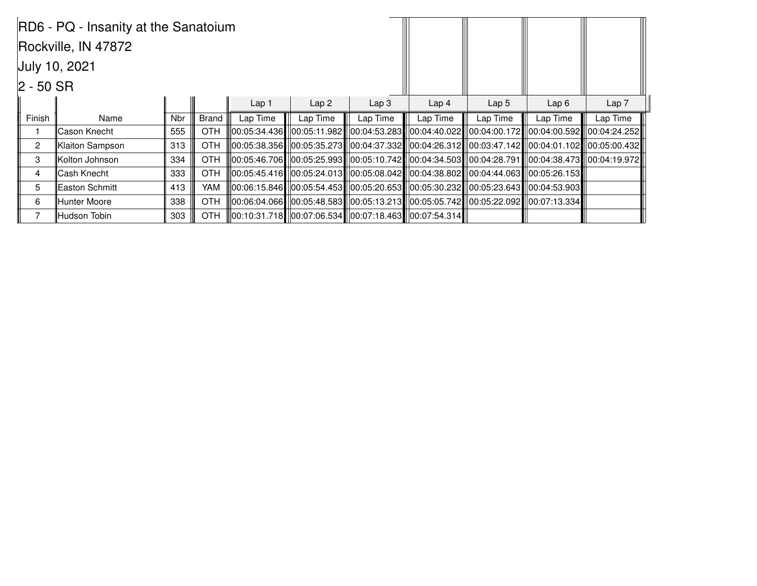| RD6 - PQ - Insanity at the Sanatoium |                      |            |            |                  |          |                                                                |                  |                                                                                                                                                                                                 |          |                  |
|--------------------------------------|----------------------|------------|------------|------------------|----------|----------------------------------------------------------------|------------------|-------------------------------------------------------------------------------------------------------------------------------------------------------------------------------------------------|----------|------------------|
|                                      | Rockville, IN 47872  |            |            |                  |          |                                                                |                  |                                                                                                                                                                                                 |          |                  |
|                                      | <b>July 10, 2021</b> |            |            |                  |          |                                                                |                  |                                                                                                                                                                                                 |          |                  |
| $ 2 - 50$ SR                         |                      |            |            |                  |          |                                                                |                  |                                                                                                                                                                                                 |          |                  |
|                                      |                      |            |            | Lap <sub>1</sub> | Lap2     | Lap3                                                           | Lap <sub>4</sub> | Lap <sub>5</sub>                                                                                                                                                                                | Lap6     | Lap <sub>7</sub> |
| Finish                               | <b>Name</b>          | <b>Nbr</b> | Brand      | Lap Time         | Lap Time | Lap Time                                                       | Lap Time         | Lap Time                                                                                                                                                                                        | Lap Time | Lap Time         |
|                                      | Cason Knecht         | 555        | OTH        |                  |          |                                                                |                  | ll00:05:34.436∎ll00:05:11.982∎ll00:04:53.283∎ll00:04:40.022∎l00:04:00.172∎ll00:04:00.592∎ll00:04:24.252l                                                                                        |          |                  |
| $\overline{2}$                       | Klaiton Sampson      | 313        | <b>OTH</b> |                  |          |                                                                |                  | 00:05:38.356   00:05:35.273   00:04:37.332   00:04:26.312   00:03:47.142   00:04:01.102   00:05:00.432                                                                                          |          |                  |
| 3                                    | Kolton Johnson       | 334        | OTH        |                  |          |                                                                |                  | $\parallel$ 00:05:46.706 $\parallel$ 00:05:25.993 $\parallel$  00:05:10.742 $\parallel$  00:04:34.503 $\parallel$  00:04:28.791 $\parallel$  00:04:38.473 $\parallel$  00:04:19.972 $\parallel$ |          |                  |
| $\overline{4}$                       | lCash Knecht         | 333        | <b>OTH</b> |                  |          |                                                                |                  |                                                                                                                                                                                                 |          |                  |
| 5                                    | lEaston Schmitt      | 413        | <b>YAM</b> |                  |          |                                                                |                  | 00:06:15.846   00:05:54.453   00:05:20.653   00:05:30.232   00:05:23.643   00:04:53.903                                                                                                         |          |                  |
| 6                                    | Hunter Moore         | 338        | <b>OTH</b> |                  |          |                                                                |                  | 00:06:04.066   00:05:48.583   00:05:13.213   00:05:05.742   00:05:22.092   00:07:13.334                                                                                                         |          |                  |
|                                      | Hudson Tobin         | 303        | OTH        |                  |          | 00:10:31.718    00:07:06.534    00:07:18.463      00:07:54.314 |                  |                                                                                                                                                                                                 |          |                  |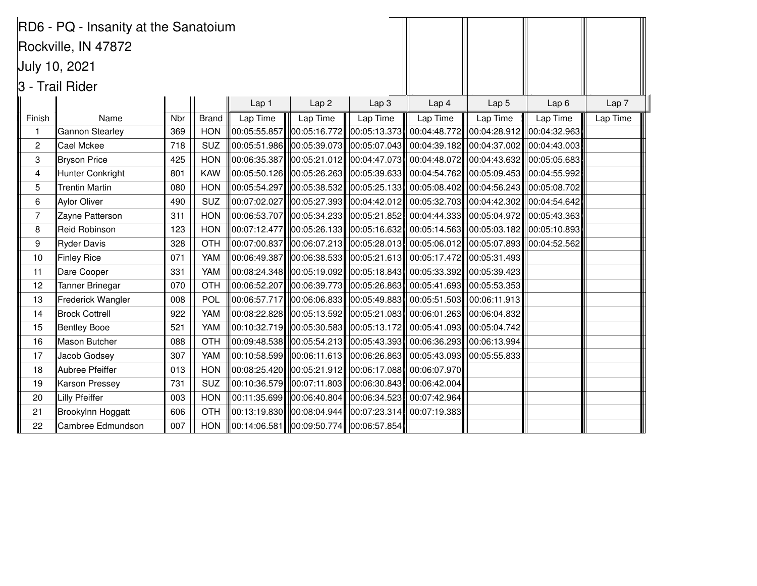|                | RD6 - PQ - Insanity at the Sanatoium |     |              |          |                                                                                                                    |                  |                                                                                                                                                            |                                                                            |                             |                  |
|----------------|--------------------------------------|-----|--------------|----------|--------------------------------------------------------------------------------------------------------------------|------------------|------------------------------------------------------------------------------------------------------------------------------------------------------------|----------------------------------------------------------------------------|-----------------------------|------------------|
|                | Rockville, IN 47872                  |     |              |          |                                                                                                                    |                  |                                                                                                                                                            |                                                                            |                             |                  |
|                | July 10, 2021                        |     |              |          |                                                                                                                    |                  |                                                                                                                                                            |                                                                            |                             |                  |
|                | 3 - Trail Rider                      |     |              |          |                                                                                                                    |                  |                                                                                                                                                            |                                                                            |                             |                  |
|                |                                      |     |              | Lap 1    | Lap <sub>2</sub>                                                                                                   | Lap <sub>3</sub> | Lap 4                                                                                                                                                      | Lap <sub>5</sub>                                                           | Lap <sub>6</sub>            | Lap <sub>7</sub> |
| Finish         | Name                                 | Nbr | <b>Brand</b> | Lap Time | Lap Time                                                                                                           | Lap Time         | Lap Time                                                                                                                                                   | Lap Time                                                                   | Lap Time                    | Lap Time         |
| 1              | Gannon Stearley                      | 369 | <b>HON</b>   |          | 00:05:55.857  00:05:16.772  00:05:13.373                                                                           |                  | 00:04:48.772                                                                                                                                               |                                                                            | 00:04:28.912   00:04:32.963 |                  |
| $\overline{c}$ | Cael Mckee                           | 718 | <b>SUZ</b>   |          | $ 00:05:51.986 $ $ 00:05:39.073 $ $ 00:05:07.043 $                                                                 |                  |                                                                                                                                                            | $ 00:04:39.182  00:04:37.002  00:04:43.003 $                               |                             |                  |
| 3              | Bryson Price                         | 425 | <b>HON</b>   |          | $ 00:06:35.387 $ $ 00:05:21.012 $ $ 00:04:47.073 $                                                                 |                  |                                                                                                                                                            | $\parallel$ 00:04:48.072 $\parallel$ 00:04:43.632 $\parallel$ 00:05:05.683 |                             |                  |
| 4              | Hunter Conkright                     | 801 | <b>KAW</b>   |          | $ 00:05:50.126 $ $ 00:05:26.263 $ $ 00:05:39.633 $                                                                 |                  |                                                                                                                                                            | $ 00:04:54.762 $ 00:05:09.453 00:04:55.992                                 |                             |                  |
| 5              | Trentin Martin                       | 080 | <b>HON</b>   |          |                                                                                                                    |                  | $ 00:05:54.297 $ $ 00:05:38.532 $ $ 00:05:25.133 $ $ 00:05:08.402 $ $ 00:04:56.243 $ $ 00:05:08.702 $                                                      |                                                                            |                             |                  |
| 6              | Aylor Oliver                         | 490 | <b>SUZ</b>   |          |                                                                                                                    |                  | $ 00:07:02.027 $ $ 00:05:27.393 $ $ 00:04:42.012 $ $ 00:05:32.703 $ $ 00:04:42.302 $ $ 00:04:54.642 $                                                      |                                                                            |                             |                  |
| $\overline{7}$ | Zayne Patterson                      | 311 | <b>HON</b>   |          |                                                                                                                    |                  | $\parallel$ 00:06:53.707 $\parallel$ l00:05:34.233 $\parallel$ l00:05:21.852 $\parallel$ l00:04:44.333 $\parallel$ l00:05:04.972 $\parallel$ l00:05:43.363 |                                                                            |                             |                  |
| 8              | Reid Robinson                        | 123 | <b>HON</b>   |          |                                                                                                                    |                  | $\parallel$ 00:07:12.477 $\parallel$ 00:05:26.133 $\parallel$  00:05:16.632 $\parallel$  00:05:14.563 $\parallel$  00:05:03.182 $\parallel$  00:05:10.893  |                                                                            |                             |                  |
| 9              | Ryder Davis                          | 328 | <b>OTH</b>   |          |                                                                                                                    |                  | $\parallel$ 00:07:00.837 $\parallel$  00:06:07.213 $\parallel$  00:05:28.013 $\parallel$  00:05:06.012 $\parallel$  00:05:07.893 $\parallel$  00:04:52.562 |                                                                            |                             |                  |
| 10             | Finley Rice                          | 071 | YAM          |          |                                                                                                                    |                  | 00:06:49.387   00:06:38.533   00:05:21.613   00:05:17.472   00:05:31.493                                                                                   |                                                                            |                             |                  |
| 11             | Dare Cooper                          | 331 | YAM          |          |                                                                                                                    |                  | $\parallel$ 00:08:24.348 $\parallel$  00:05:19.092 $\parallel$  00:05:18.843 $\parallel$  00:05:33.392 $\parallel$  00:05:39.423 $\parallel$               |                                                                            |                             |                  |
| 12             | Tanner Brinegar                      | 070 | <b>OTH</b>   |          |                                                                                                                    |                  | 00:06:52.207  00:06:39.773  00:05:26.863  00:05:41.693  00:05:53.353                                                                                       |                                                                            |                             |                  |
| 13             | Frederick Wangler                    | 008 | POL          |          |                                                                                                                    |                  | $\parallel$ 00:06:57.717 $\parallel$  00:06:06.833 $\parallel$  00:05:49.883 $\parallel$  00:05:51.503 $\parallel$  00:06:11.913                           |                                                                            |                             |                  |
| 14             | <b>Brock Cottrell</b>                | 922 | YAM          |          |                                                                                                                    |                  | 00:08:22.828   00:05:13.592   00:05:21.083    00:06:01.263    00:06:04.832                                                                                 |                                                                            |                             |                  |
| 15             | Bentley Booe                         | 521 | YAM          |          |                                                                                                                    |                  |                                                                                                                                                            |                                                                            |                             |                  |
| 16             | Mason Butcher                        | 088 | <b>OTH</b>   |          |                                                                                                                    |                  | 00:09:48.538   00:05:54.213     00:05:43.393     00:06:36.293       00:06:13.994                                                                           |                                                                            |                             |                  |
| 17             | Jacob Godsey                         | 307 | YAM          |          |                                                                                                                    |                  | 00:10:58.599   00:06:11.613    00:06:26.863    00:05:43.093    00:05:55.833                                                                                |                                                                            |                             |                  |
| 18             | Aubree Pfeiffer                      | 013 | <b>HON</b>   |          |                                                                                                                    |                  | $\parallel$ 00:08:25.420 $\parallel$ 00:05:21.912 $\parallel$ 00:06:17.088 $\parallel$ 00:06:07.970                                                        |                                                                            |                             |                  |
| 19             | Karson Pressey                       | 731 | <b>SUZ</b>   |          | $\parallel$ 00:10:36.579 $\parallel$  00:07:11.803 $\parallel$  00:06:30.843 $\parallel$  00:06:42.004 $\parallel$ |                  |                                                                                                                                                            |                                                                            |                             |                  |
| 20             | Lilly Pfeiffer                       | 003 | <b>HON</b>   |          |                                                                                                                    |                  | $\vert$ 00:11:35.699 $\vert\vert$ 00:06:40.804 $\vert\vert$ 00:06:34.523 $\vert\vert$ 00:07:42.964 $\vert\vert$                                            |                                                                            |                             |                  |
| 21             | Brookylnn Hoggatt                    | 606 | <b>OTH</b>   |          | $ 00:13:19.830 $ $ 00:08:04.944 $ $ 00:07:23.314 $                                                                 |                  | 00:07:19.383                                                                                                                                               |                                                                            |                             |                  |
| 22             | Cambree Edmundson                    | 007 | <b>HON</b>   |          | $\ 00:14:06.581\ $ $\ 00:09:50.774\ $ $\ 00:06:57.854\ $                                                           |                  |                                                                                                                                                            |                                                                            |                             |                  |